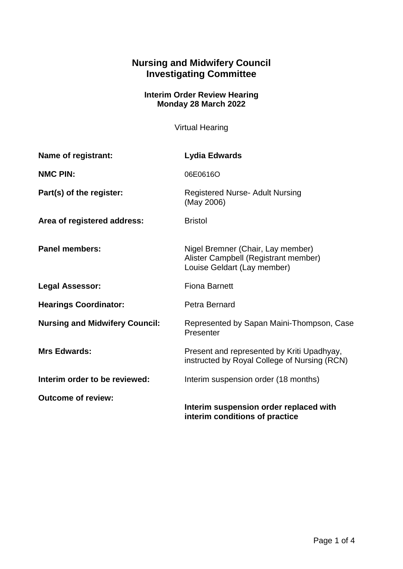## **Nursing and Midwifery Council Investigating Committee**

## **Interim Order Review Hearing Monday 28 March 2022**

Virtual Hearing

| Name of registrant:                   | Lydia Edwards                                                                                            |
|---------------------------------------|----------------------------------------------------------------------------------------------------------|
| <b>NMC PIN:</b>                       | 06E0616O                                                                                                 |
| Part(s) of the register:              | <b>Registered Nurse- Adult Nursing</b><br>(May 2006)                                                     |
| Area of registered address:           | <b>Bristol</b>                                                                                           |
| <b>Panel members:</b>                 | Nigel Bremner (Chair, Lay member)<br>Alister Campbell (Registrant member)<br>Louise Geldart (Lay member) |
| <b>Legal Assessor:</b>                | <b>Fiona Barnett</b>                                                                                     |
| <b>Hearings Coordinator:</b>          | Petra Bernard                                                                                            |
| <b>Nursing and Midwifery Council:</b> | Represented by Sapan Maini-Thompson, Case<br>Presenter                                                   |
| <b>Mrs Edwards:</b>                   | Present and represented by Kriti Upadhyay,<br>instructed by Royal College of Nursing (RCN)               |
| Interim order to be reviewed:         | Interim suspension order (18 months)                                                                     |
| <b>Outcome of review:</b>             | Interim suspension order replaced with<br>interim conditions of practice                                 |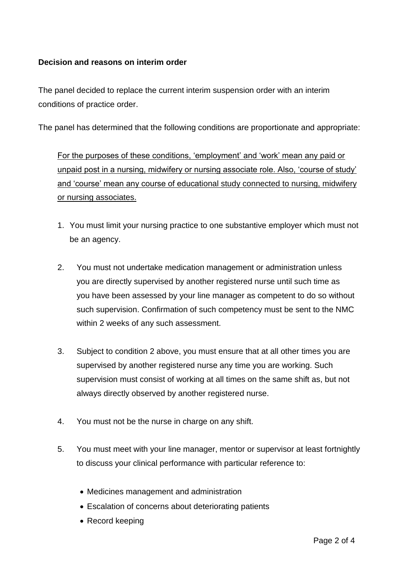## **Decision and reasons on interim order**

The panel decided to replace the current interim suspension order with an interim conditions of practice order.

The panel has determined that the following conditions are proportionate and appropriate:

For the purposes of these conditions, 'employment' and 'work' mean any paid or unpaid post in a nursing, midwifery or nursing associate role. Also, 'course of study' and 'course' mean any course of educational study connected to nursing, midwifery or nursing associates.

- 1. You must limit your nursing practice to one substantive employer which must not be an agency.
- 2. You must not undertake medication management or administration unless you are directly supervised by another registered nurse until such time as you have been assessed by your line manager as competent to do so without such supervision. Confirmation of such competency must be sent to the NMC within 2 weeks of any such assessment.
- 3. Subject to condition 2 above, you must ensure that at all other times you are supervised by another registered nurse any time you are working. Such supervision must consist of working at all times on the same shift as, but not always directly observed by another registered nurse.
- 4. You must not be the nurse in charge on any shift.
- 5. You must meet with your line manager, mentor or supervisor at least fortnightly to discuss your clinical performance with particular reference to:
	- Medicines management and administration
	- Escalation of concerns about deteriorating patients
	- Record keeping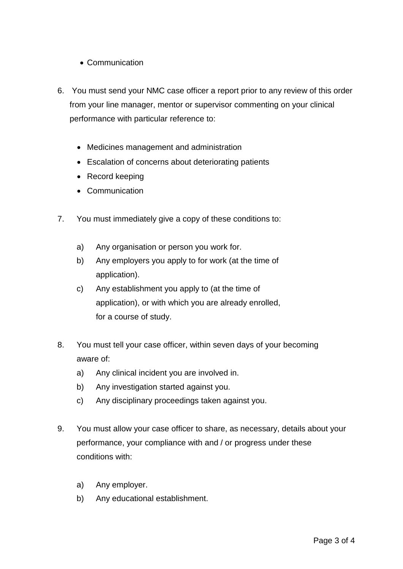- Communication
- 6. You must send your NMC case officer a report prior to any review of this order from your line manager, mentor or supervisor commenting on your clinical performance with particular reference to:
	- Medicines management and administration
	- Escalation of concerns about deteriorating patients
	- Record keeping
	- Communication
- 7. You must immediately give a copy of these conditions to:
	- a) Any organisation or person you work for.
	- b) Any employers you apply to for work (at the time of application).
	- c) Any establishment you apply to (at the time of application), or with which you are already enrolled, for a course of study.
- 8. You must tell your case officer, within seven days of your becoming aware of:
	- a) Any clinical incident you are involved in.
	- b) Any investigation started against you.
	- c) Any disciplinary proceedings taken against you.
- 9. You must allow your case officer to share, as necessary, details about your performance, your compliance with and / or progress under these conditions with:
	- a) Any employer.
	- b) Any educational establishment.